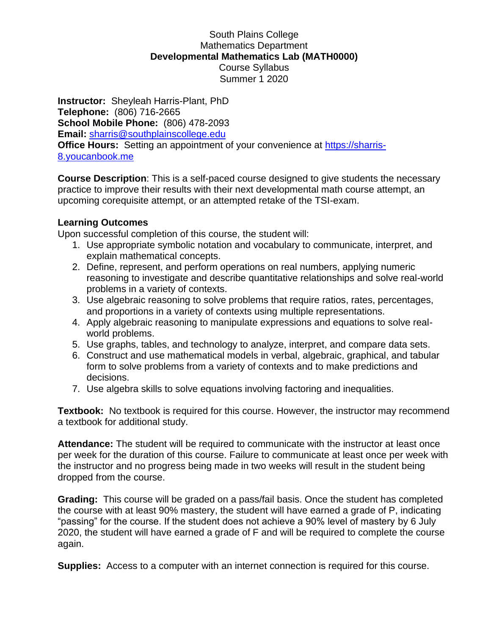## South Plains College Mathematics Department **Developmental Mathematics Lab (MATH0000)** Course Syllabus Summer 1 2020

**Instructor:** Sheyleah Harris-Plant, PhD **Telephone:** (806) 716-2665 **School Mobile Phone:** (806) 478-2093 **Email:** [sharris@southplainscollege.edu](mailto:sharris@southplainscollege.edu) **Office Hours:** Setting an appointment of your convenience at [https://sharris-](https://sharris-8.youcanbook.me/)[8.youcanbook.me](https://sharris-8.youcanbook.me/)

**Course Description**: This is a self-paced course designed to give students the necessary practice to improve their results with their next developmental math course attempt, an upcoming corequisite attempt, or an attempted retake of the TSI-exam.

## **Learning Outcomes**

Upon successful completion of this course, the student will:

- 1. Use appropriate symbolic notation and vocabulary to communicate, interpret, and explain mathematical concepts.
- 2. Define, represent, and perform operations on real numbers, applying numeric reasoning to investigate and describe quantitative relationships and solve real-world problems in a variety of contexts.
- 3. Use algebraic reasoning to solve problems that require ratios, rates, percentages, and proportions in a variety of contexts using multiple representations.
- 4. Apply algebraic reasoning to manipulate expressions and equations to solve realworld problems.
- 5. Use graphs, tables, and technology to analyze, interpret, and compare data sets.
- 6. Construct and use mathematical models in verbal, algebraic, graphical, and tabular form to solve problems from a variety of contexts and to make predictions and decisions.
- 7. Use algebra skills to solve equations involving factoring and inequalities.

**Textbook:** No textbook is required for this course. However, the instructor may recommend a textbook for additional study.

**Attendance:** The student will be required to communicate with the instructor at least once per week for the duration of this course. Failure to communicate at least once per week with the instructor and no progress being made in two weeks will result in the student being dropped from the course.

**Grading:** This course will be graded on a pass/fail basis. Once the student has completed the course with at least 90% mastery, the student will have earned a grade of P, indicating "passing" for the course. If the student does not achieve a 90% level of mastery by 6 July 2020, the student will have earned a grade of F and will be required to complete the course again.

**Supplies:** Access to a computer with an internet connection is required for this course.